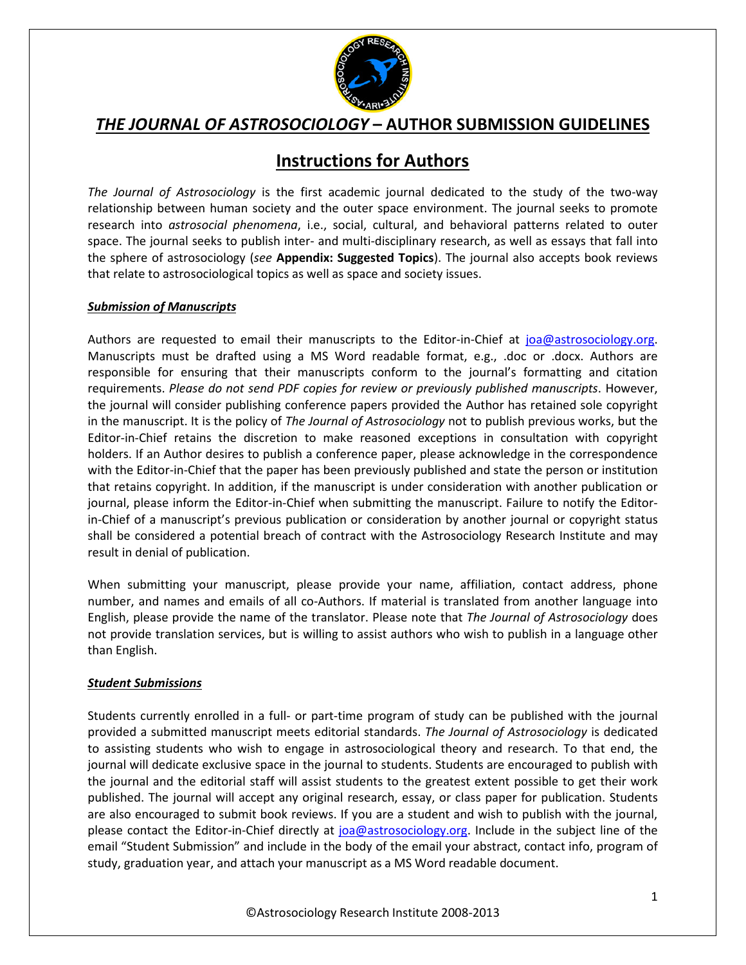

# **Instructions for Authors**

*The Journal of Astrosociology* is the first academic journal dedicated to the study of the two-way relationship between human society and the outer space environment. The journal seeks to promote research into *astrosocial phenomena*, i.e., social, cultural, and behavioral patterns related to outer space. The journal seeks to publish inter- and multi-disciplinary research, as well as essays that fall into the sphere of astrosociology (*see* **Appendix: Suggested Topics**). The journal also accepts book reviews that relate to astrosociological topics as well as space and society issues.

### *Submission of Manuscripts*

Authors are requested to email their manuscripts to the Editor-in-Chief at joa@astrosociology.org. Manuscripts must be drafted using a MS Word readable format, e.g., .doc or .docx. Authors are responsible for ensuring that their manuscripts conform to the journal's formatting and citation requirements. *Please do not send PDF copies for review or previously published manuscripts*. However, the journal will consider publishing conference papers provided the Author has retained sole copyright in the manuscript. It is the policy of *The Journal of Astrosociology* not to publish previous works, but the Editor-in-Chief retains the discretion to make reasoned exceptions in consultation with copyright holders. If an Author desires to publish a conference paper, please acknowledge in the correspondence with the Editor-in-Chief that the paper has been previously published and state the person or institution that retains copyright. In addition, if the manuscript is under consideration with another publication or journal, please inform the Editor-in-Chief when submitting the manuscript. Failure to notify the Editorin-Chief of a manuscript's previous publication or consideration by another journal or copyright status shall be considered a potential breach of contract with the Astrosociology Research Institute and may result in denial of publication.

When submitting your manuscript, please provide your name, affiliation, contact address, phone number, and names and emails of all co-Authors. If material is translated from another language into English, please provide the name of the translator. Please note that *The Journal of Astrosociology* does not provide translation services, but is willing to assist authors who wish to publish in a language other than English.

### *Student Submissions*

Students currently enrolled in a full- or part-time program of study can be published with the journal provided a submitted manuscript meets editorial standards. *The Journal of Astrosociology* is dedicated to assisting students who wish to engage in astrosociological theory and research. To that end, the journal will dedicate exclusive space in the journal to students. Students are encouraged to publish with the journal and the editorial staff will assist students to the greatest extent possible to get their work published. The journal will accept any original research, essay, or class paper for publication. Students are also encouraged to submit book reviews. If you are a student and wish to publish with the journal, please contact the Editor-in-Chief directly at joa@astrosociology.org. Include in the subject line of the email "Student Submission" and include in the body of the email your abstract, contact info, program of study, graduation year, and attach your manuscript as a MS Word readable document.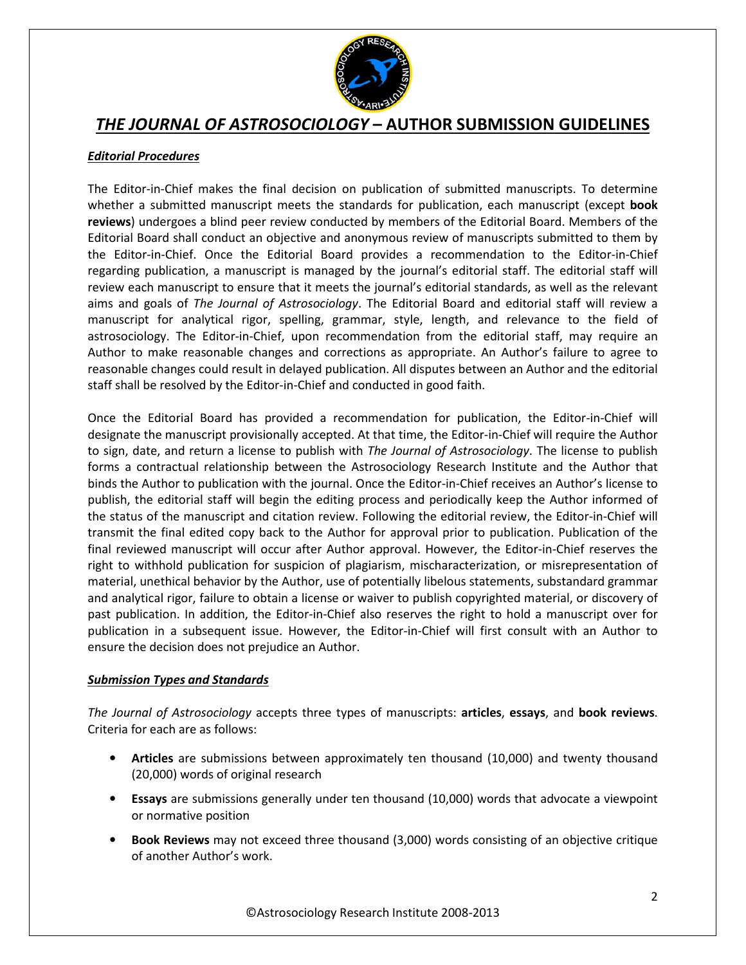

## *Editorial Procedures*

The Editor-in-Chief makes the final decision on publication of submitted manuscripts. To determine whether a submitted manuscript meets the standards for publication, each manuscript (except **book reviews**) undergoes a blind peer review conducted by members of the Editorial Board. Members of the Editorial Board shall conduct an objective and anonymous review of manuscripts submitted to them by the Editor-in-Chief. Once the Editorial Board provides a recommendation to the Editor-in-Chief regarding publication, a manuscript is managed by the journal's editorial staff. The editorial staff will review each manuscript to ensure that it meets the journal's editorial standards, as well as the relevant aims and goals of *The Journal of Astrosociology*. The Editorial Board and editorial staff will review a manuscript for analytical rigor, spelling, grammar, style, length, and relevance to the field of astrosociology. The Editor-in-Chief, upon recommendation from the editorial staff, may require an Author to make reasonable changes and corrections as appropriate. An Author's failure to agree to reasonable changes could result in delayed publication. All disputes between an Author and the editorial staff shall be resolved by the Editor-in-Chief and conducted in good faith.

Once the Editorial Board has provided a recommendation for publication, the Editor-in-Chief will designate the manuscript provisionally accepted. At that time, the Editor-in-Chief will require the Author to sign, date, and return a license to publish with *The Journal of Astrosociology*. The license to publish forms a contractual relationship between the Astrosociology Research Institute and the Author that binds the Author to publication with the journal. Once the Editor-in-Chief receives an Author's license to publish, the editorial staff will begin the editing process and periodically keep the Author informed of the status of the manuscript and citation review. Following the editorial review, the Editor-in-Chief will transmit the final edited copy back to the Author for approval prior to publication. Publication of the final reviewed manuscript will occur after Author approval. However, the Editor-in-Chief reserves the right to withhold publication for suspicion of plagiarism, mischaracterization, or misrepresentation of material, unethical behavior by the Author, use of potentially libelous statements, substandard grammar and analytical rigor, failure to obtain a license or waiver to publish copyrighted material, or discovery of past publication. In addition, the Editor-in-Chief also reserves the right to hold a manuscript over for publication in a subsequent issue. However, the Editor-in-Chief will first consult with an Author to ensure the decision does not prejudice an Author.

## *Submission Types and Standards*

*The Journal of Astrosociology* accepts three types of manuscripts: **articles**, **essays**, and **book reviews**. Criteria for each are as follows:

- **Articles** are submissions between approximately ten thousand (10,000) and twenty thousand (20,000) words of original research
- **Essays** are submissions generally under ten thousand (10,000) words that advocate a viewpoint or normative position
- **Book Reviews** may not exceed three thousand (3,000) words consisting of an objective critique of another Author's work.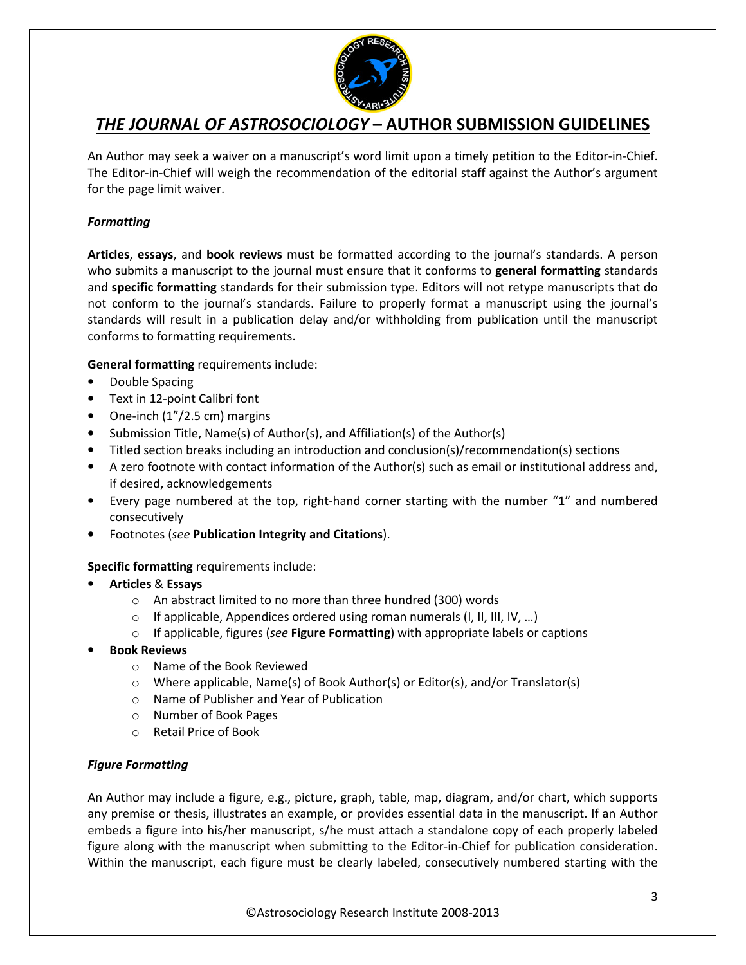

An Author may seek a waiver on a manuscript's word limit upon a timely petition to the Editor-in-Chief. The Editor-in-Chief will weigh the recommendation of the editorial staff against the Author's argument for the page limit waiver.

## *Formatting*

**Articles**, **essays**, and **book reviews** must be formatted according to the journal's standards. A person who submits a manuscript to the journal must ensure that it conforms to **general formatting** standards and **specific formatting** standards for their submission type. Editors will not retype manuscripts that do not conform to the journal's standards. Failure to properly format a manuscript using the journal's standards will result in a publication delay and/or withholding from publication until the manuscript conforms to formatting requirements.

**General formatting** requirements include:

- Double Spacing
- Text in 12-point Calibri font
- One-inch (1"/2.5 cm) margins
- Submission Title, Name(s) of Author(s), and Affiliation(s) of the Author(s)
- Titled section breaks including an introduction and conclusion(s)/recommendation(s) sections
- A zero footnote with contact information of the Author(s) such as email or institutional address and, if desired, acknowledgements
- Every page numbered at the top, right-hand corner starting with the number "1" and numbered consecutively
- Footnotes (*see* **Publication Integrity and Citations**).

## **Specific formatting** requirements include:

- **Articles** & **Essays** 
	- o An abstract limited to no more than three hundred (300) words
	- o If applicable, Appendices ordered using roman numerals (I, II, III, IV, …)
	- o If applicable, figures (*see* **Figure Formatting**) with appropriate labels or captions
- **Book Reviews** 
	- o Name of the Book Reviewed
	- o Where applicable, Name(s) of Book Author(s) or Editor(s), and/or Translator(s)
	- o Name of Publisher and Year of Publication
	- o Number of Book Pages
	- o Retail Price of Book

### *Figure Formatting*

An Author may include a figure, e.g., picture, graph, table, map, diagram, and/or chart, which supports any premise or thesis, illustrates an example, or provides essential data in the manuscript. If an Author embeds a figure into his/her manuscript, s/he must attach a standalone copy of each properly labeled figure along with the manuscript when submitting to the Editor-in-Chief for publication consideration. Within the manuscript, each figure must be clearly labeled, consecutively numbered starting with the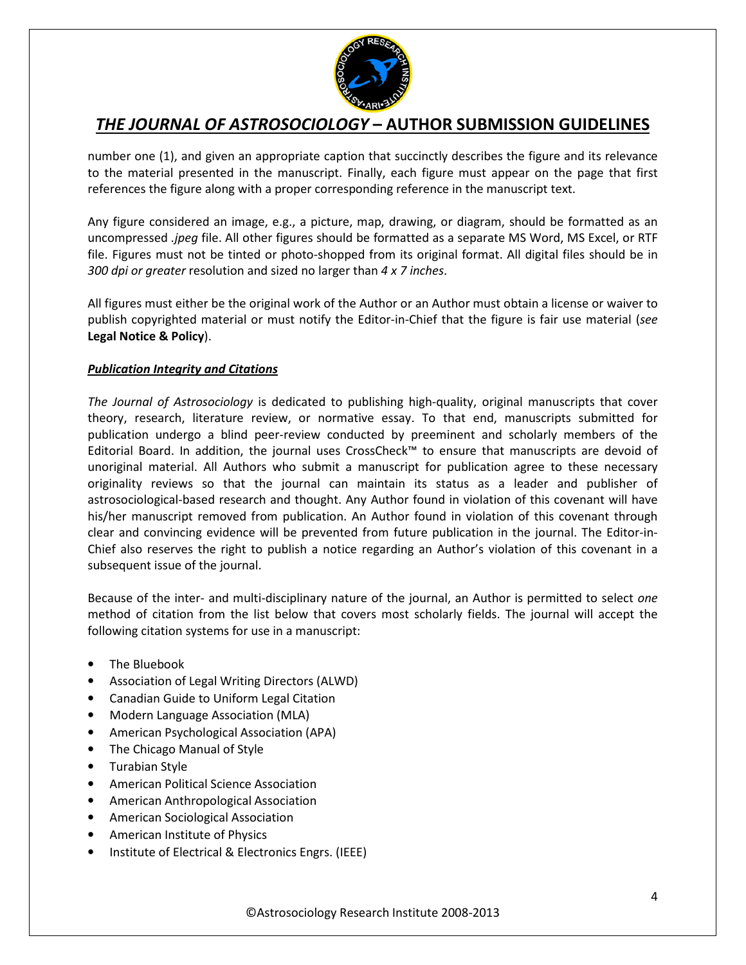

number one (1), and given an appropriate caption that succinctly describes the figure and its relevance to the material presented in the manuscript. Finally, each figure must appear on the page that first references the figure along with a proper corresponding reference in the manuscript text.

Any figure considered an image, e.g., a picture, map, drawing, or diagram, should be formatted as an uncompressed *.jpeg* file. All other figures should be formatted as a separate MS Word, MS Excel, or RTF file. Figures must not be tinted or photo-shopped from its original format. All digital files should be in *300 dpi or greater* resolution and sized no larger than *4 x 7 inches*.

All figures must either be the original work of the Author or an Author must obtain a license or waiver to publish copyrighted material or must notify the Editor-in-Chief that the figure is fair use material (*see*  **Legal Notice & Policy**).

### *Publication Integrity and Citations*

*The Journal of Astrosociology* is dedicated to publishing high-quality, original manuscripts that cover theory, research, literature review, or normative essay. To that end, manuscripts submitted for publication undergo a blind peer-review conducted by preeminent and scholarly members of the Editorial Board. In addition, the journal uses CrossCheck™ to ensure that manuscripts are devoid of unoriginal material. All Authors who submit a manuscript for publication agree to these necessary originality reviews so that the journal can maintain its status as a leader and publisher of astrosociological-based research and thought. Any Author found in violation of this covenant will have his/her manuscript removed from publication. An Author found in violation of this covenant through clear and convincing evidence will be prevented from future publication in the journal. The Editor-in-Chief also reserves the right to publish a notice regarding an Author's violation of this covenant in a subsequent issue of the journal.

Because of the inter- and multi-disciplinary nature of the journal, an Author is permitted to select *one*  method of citation from the list below that covers most scholarly fields. The journal will accept the following citation systems for use in a manuscript:

- The Bluebook
- Association of Legal Writing Directors (ALWD)
- Canadian Guide to Uniform Legal Citation
- Modern Language Association (MLA)
- American Psychological Association (APA)
- The Chicago Manual of Style
- Turabian Style
- American Political Science Association
- American Anthropological Association
- American Sociological Association
- American Institute of Physics
- Institute of Electrical & Electronics Engrs. (IEEE)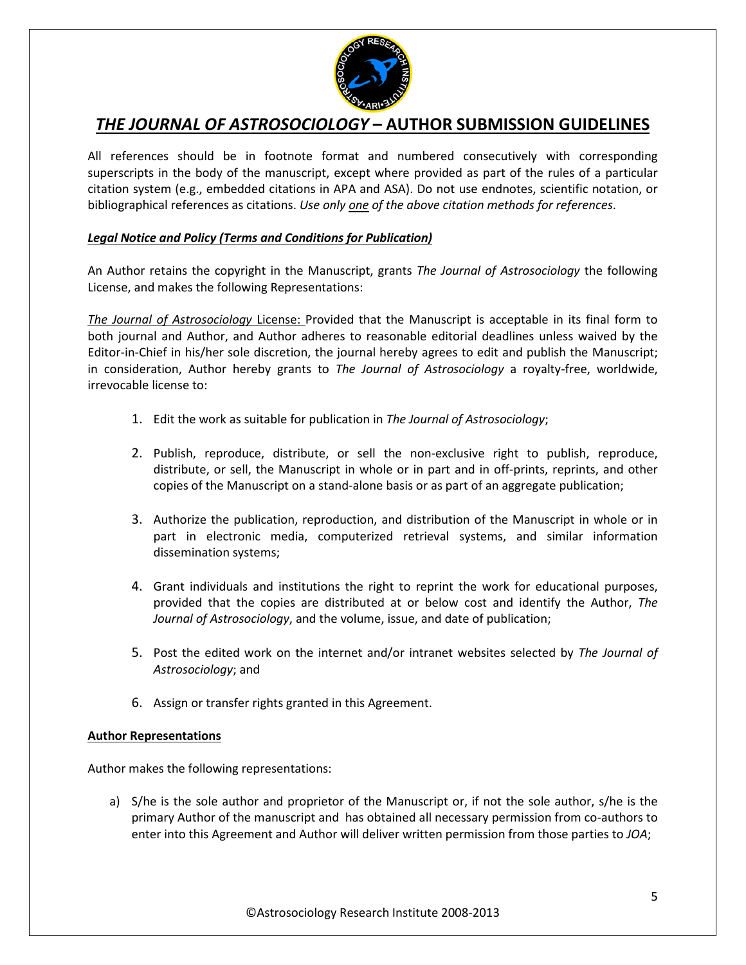

All references should be in footnote format and numbered consecutively with corresponding superscripts in the body of the manuscript, except where provided as part of the rules of a particular citation system (e.g., embedded citations in APA and ASA). Do not use endnotes, scientific notation, or bibliographical references as citations. *Use only one of the above citation methods for references*.

### *Legal Notice and Policy (Terms and Conditions for Publication)*

An Author retains the copyright in the Manuscript, grants *The Journal of Astrosociology* the following License, and makes the following Representations:

*The Journal of Astrosociology* License: Provided that the Manuscript is acceptable in its final form to both journal and Author, and Author adheres to reasonable editorial deadlines unless waived by the Editor-in-Chief in his/her sole discretion, the journal hereby agrees to edit and publish the Manuscript; in consideration, Author hereby grants to *The Journal of Astrosociology* a royalty-free, worldwide, irrevocable license to:

- 1. Edit the work as suitable for publication in *The Journal of Astrosociology*;
- 2. Publish, reproduce, distribute, or sell the non-exclusive right to publish, reproduce, distribute, or sell, the Manuscript in whole or in part and in off-prints, reprints, and other copies of the Manuscript on a stand-alone basis or as part of an aggregate publication;
- 3. Authorize the publication, reproduction, and distribution of the Manuscript in whole or in part in electronic media, computerized retrieval systems, and similar information dissemination systems;
- 4. Grant individuals and institutions the right to reprint the work for educational purposes, provided that the copies are distributed at or below cost and identify the Author, *The Journal of Astrosociology*, and the volume, issue, and date of publication;
- 5. Post the edited work on the internet and/or intranet websites selected by *The Journal of Astrosociology*; and
- 6. Assign or transfer rights granted in this Agreement.

### **Author Representations**

Author makes the following representations:

a) S/he is the sole author and proprietor of the Manuscript or, if not the sole author, s/he is the primary Author of the manuscript and has obtained all necessary permission from co-authors to enter into this Agreement and Author will deliver written permission from those parties to *JOA*;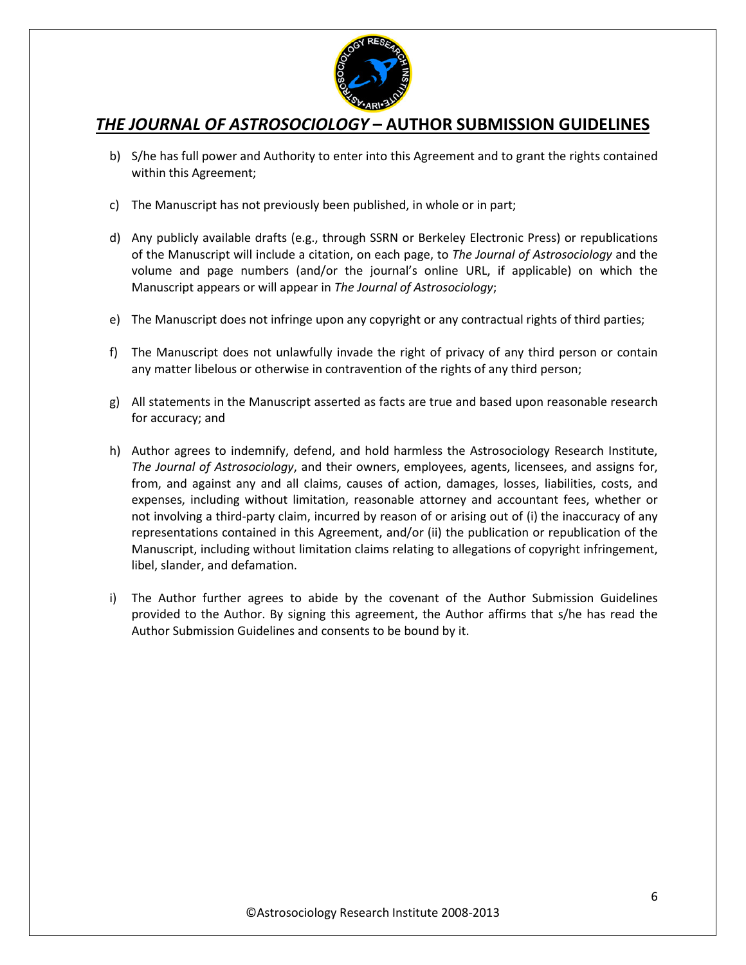

- b) S/he has full power and Authority to enter into this Agreement and to grant the rights contained within this Agreement;
- c) The Manuscript has not previously been published, in whole or in part;
- d) Any publicly available drafts (e.g., through SSRN or Berkeley Electronic Press) or republications of the Manuscript will include a citation, on each page, to *The Journal of Astrosociology* and the volume and page numbers (and/or the journal's online URL, if applicable) on which the Manuscript appears or will appear in *The Journal of Astrosociology*;
- e) The Manuscript does not infringe upon any copyright or any contractual rights of third parties;
- f) The Manuscript does not unlawfully invade the right of privacy of any third person or contain any matter libelous or otherwise in contravention of the rights of any third person;
- g) All statements in the Manuscript asserted as facts are true and based upon reasonable research for accuracy; and
- h) Author agrees to indemnify, defend, and hold harmless the Astrosociology Research Institute, *The Journal of Astrosociology*, and their owners, employees, agents, licensees, and assigns for, from, and against any and all claims, causes of action, damages, losses, liabilities, costs, and expenses, including without limitation, reasonable attorney and accountant fees, whether or not involving a third-party claim, incurred by reason of or arising out of (i) the inaccuracy of any representations contained in this Agreement, and/or (ii) the publication or republication of the Manuscript, including without limitation claims relating to allegations of copyright infringement, libel, slander, and defamation.
- i) The Author further agrees to abide by the covenant of the Author Submission Guidelines provided to the Author. By signing this agreement, the Author affirms that s/he has read the Author Submission Guidelines and consents to be bound by it.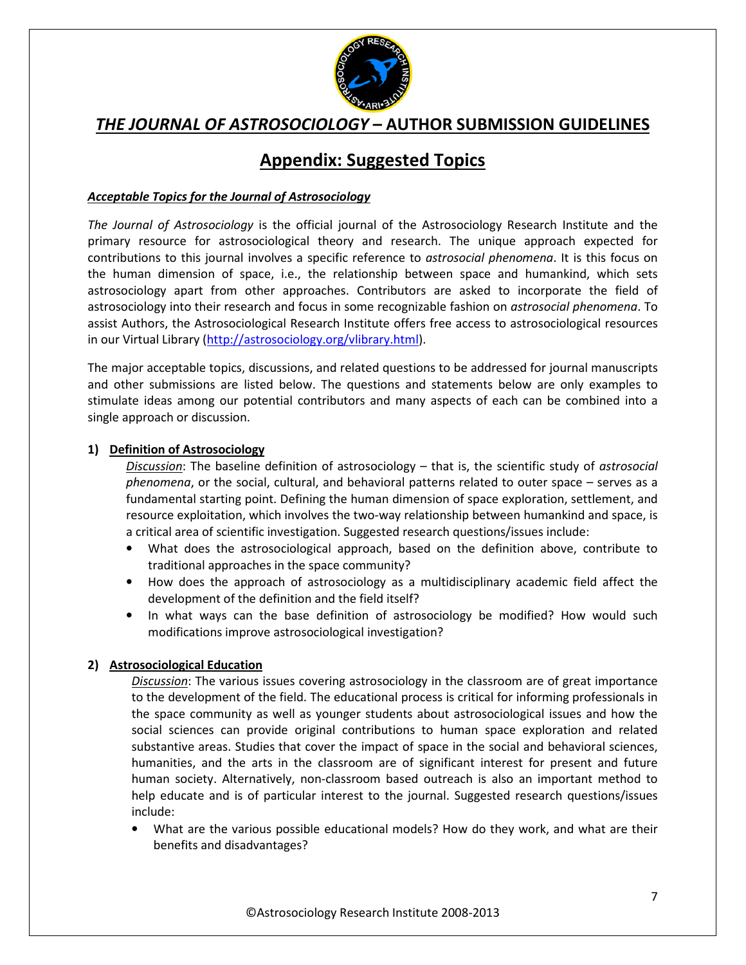

# **Appendix: Suggested Topics**

### *Acceptable Topics for the Journal of Astrosociology*

*The Journal of Astrosociology* is the official journal of the Astrosociology Research Institute and the primary resource for astrosociological theory and research. The unique approach expected for contributions to this journal involves a specific reference to *astrosocial phenomena*. It is this focus on the human dimension of space, i.e., the relationship between space and humankind, which sets astrosociology apart from other approaches. Contributors are asked to incorporate the field of astrosociology into their research and focus in some recognizable fashion on *astrosocial phenomena*. To assist Authors, the Astrosociological Research Institute offers free access to astrosociological resources in our Virtual Library (http://astrosociology.org/vlibrary.html).

The major acceptable topics, discussions, and related questions to be addressed for journal manuscripts and other submissions are listed below. The questions and statements below are only examples to stimulate ideas among our potential contributors and many aspects of each can be combined into a single approach or discussion.

### **1) Definition of Astrosociology**

*Discussion*: The baseline definition of astrosociology – that is, the scientific study of *astrosocial phenomena*, or the social, cultural, and behavioral patterns related to outer space – serves as a fundamental starting point. Defining the human dimension of space exploration, settlement, and resource exploitation, which involves the two-way relationship between humankind and space, is a critical area of scientific investigation. Suggested research questions/issues include:

- What does the astrosociological approach, based on the definition above, contribute to traditional approaches in the space community?
- How does the approach of astrosociology as a multidisciplinary academic field affect the development of the definition and the field itself?
- In what ways can the base definition of astrosociology be modified? How would such modifications improve astrosociological investigation?

### **2) Astrosociological Education**

*Discussion*: The various issues covering astrosociology in the classroom are of great importance to the development of the field. The educational process is critical for informing professionals in the space community as well as younger students about astrosociological issues and how the social sciences can provide original contributions to human space exploration and related substantive areas. Studies that cover the impact of space in the social and behavioral sciences, humanities, and the arts in the classroom are of significant interest for present and future human society. Alternatively, non-classroom based outreach is also an important method to help educate and is of particular interest to the journal. Suggested research questions/issues include:

• What are the various possible educational models? How do they work, and what are their benefits and disadvantages?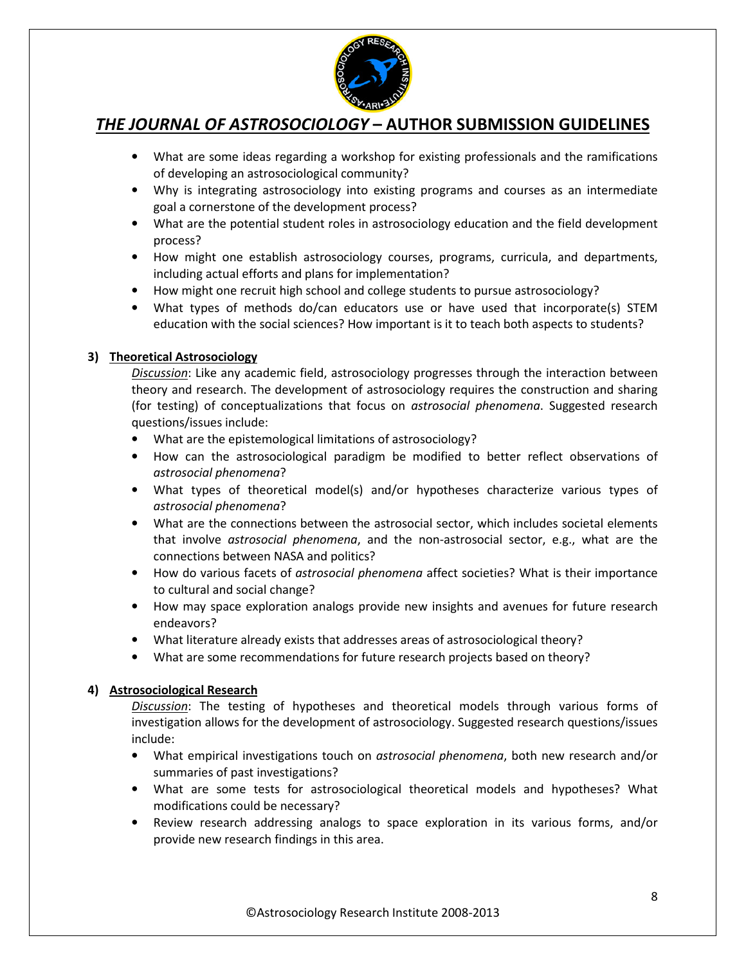

- What are some ideas regarding a workshop for existing professionals and the ramifications of developing an astrosociological community?
- Why is integrating astrosociology into existing programs and courses as an intermediate goal a cornerstone of the development process?
- What are the potential student roles in astrosociology education and the field development process?
- How might one establish astrosociology courses, programs, curricula, and departments, including actual efforts and plans for implementation?
- How might one recruit high school and college students to pursue astrosociology?
- What types of methods do/can educators use or have used that incorporate(s) STEM education with the social sciences? How important is it to teach both aspects to students?

### **3) Theoretical Astrosociology**

*Discussion*: Like any academic field, astrosociology progresses through the interaction between theory and research. The development of astrosociology requires the construction and sharing (for testing) of conceptualizations that focus on *astrosocial phenomena*. Suggested research questions/issues include:

- What are the epistemological limitations of astrosociology?
- How can the astrosociological paradigm be modified to better reflect observations of *astrosocial phenomena*?
- What types of theoretical model(s) and/or hypotheses characterize various types of *astrosocial phenomena*?
- What are the connections between the astrosocial sector, which includes societal elements that involve *astrosocial phenomena*, and the non-astrosocial sector, e.g., what are the connections between NASA and politics?
- How do various facets of *astrosocial phenomena* affect societies? What is their importance to cultural and social change?
- How may space exploration analogs provide new insights and avenues for future research endeavors?
- What literature already exists that addresses areas of astrosociological theory?
- What are some recommendations for future research projects based on theory?

## **4) Astrosociological Research**

*Discussion*: The testing of hypotheses and theoretical models through various forms of investigation allows for the development of astrosociology. Suggested research questions/issues include:

- What empirical investigations touch on *astrosocial phenomena*, both new research and/or summaries of past investigations?
- What are some tests for astrosociological theoretical models and hypotheses? What modifications could be necessary?
- Review research addressing analogs to space exploration in its various forms, and/or provide new research findings in this area.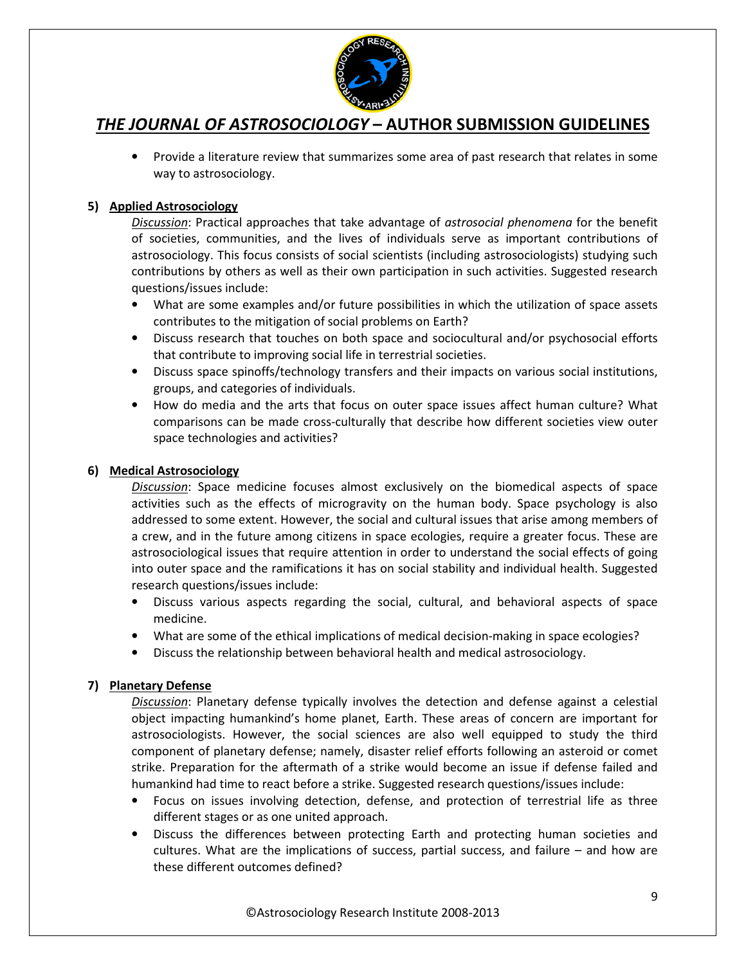

• Provide a literature review that summarizes some area of past research that relates in some way to astrosociology.

## **5) Applied Astrosociology**

*Discussion*: Practical approaches that take advantage of *astrosocial phenomena* for the benefit of societies, communities, and the lives of individuals serve as important contributions of astrosociology. This focus consists of social scientists (including astrosociologists) studying such contributions by others as well as their own participation in such activities. Suggested research questions/issues include:

- What are some examples and/or future possibilities in which the utilization of space assets contributes to the mitigation of social problems on Earth?
- Discuss research that touches on both space and sociocultural and/or psychosocial efforts that contribute to improving social life in terrestrial societies.
- Discuss space spinoffs/technology transfers and their impacts on various social institutions, groups, and categories of individuals.
- How do media and the arts that focus on outer space issues affect human culture? What comparisons can be made cross-culturally that describe how different societies view outer space technologies and activities?

### **6) Medical Astrosociology**

*Discussion*: Space medicine focuses almost exclusively on the biomedical aspects of space activities such as the effects of microgravity on the human body. Space psychology is also addressed to some extent. However, the social and cultural issues that arise among members of a crew, and in the future among citizens in space ecologies, require a greater focus. These are astrosociological issues that require attention in order to understand the social effects of going into outer space and the ramifications it has on social stability and individual health. Suggested research questions/issues include:

- Discuss various aspects regarding the social, cultural, and behavioral aspects of space medicine.
- What are some of the ethical implications of medical decision-making in space ecologies?
- Discuss the relationship between behavioral health and medical astrosociology.

### **7) Planetary Defense**

*Discussion*: Planetary defense typically involves the detection and defense against a celestial object impacting humankind's home planet, Earth. These areas of concern are important for astrosociologists. However, the social sciences are also well equipped to study the third component of planetary defense; namely, disaster relief efforts following an asteroid or comet strike. Preparation for the aftermath of a strike would become an issue if defense failed and humankind had time to react before a strike. Suggested research questions/issues include:

- Focus on issues involving detection, defense, and protection of terrestrial life as three different stages or as one united approach.
- Discuss the differences between protecting Earth and protecting human societies and cultures. What are the implications of success, partial success, and failure – and how are these different outcomes defined?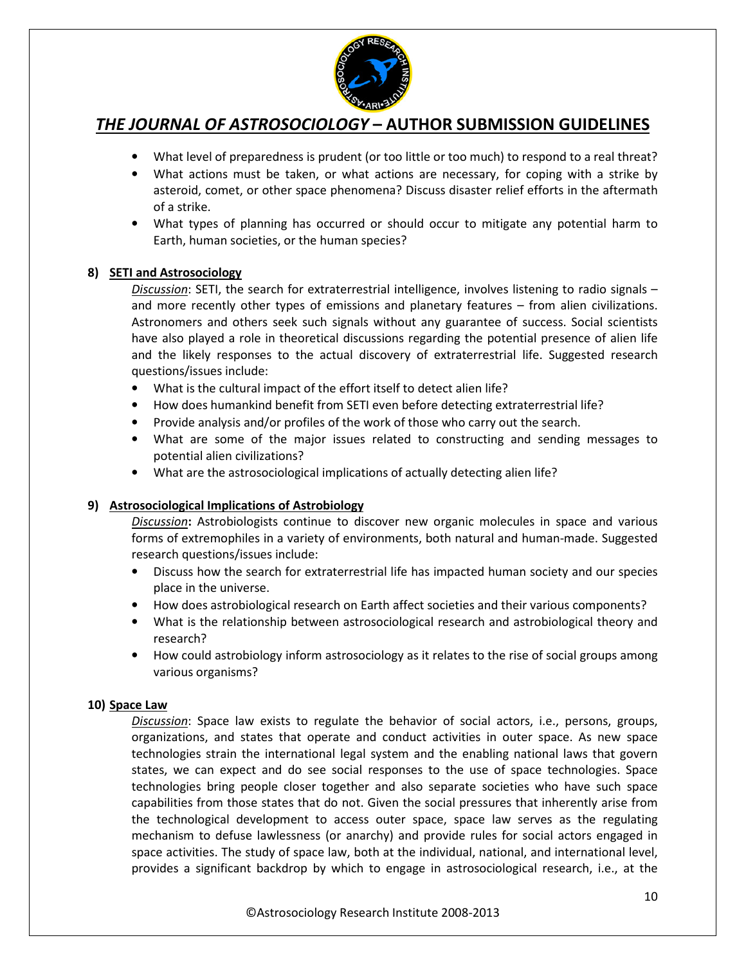

- What level of preparedness is prudent (or too little or too much) to respond to a real threat?
- What actions must be taken, or what actions are necessary, for coping with a strike by asteroid, comet, or other space phenomena? Discuss disaster relief efforts in the aftermath of a strike.
- What types of planning has occurred or should occur to mitigate any potential harm to Earth, human societies, or the human species?

### **8) SETI and Astrosociology**

*Discussion*: SETI, the search for extraterrestrial intelligence, involves listening to radio signals – and more recently other types of emissions and planetary features – from alien civilizations. Astronomers and others seek such signals without any guarantee of success. Social scientists have also played a role in theoretical discussions regarding the potential presence of alien life and the likely responses to the actual discovery of extraterrestrial life. Suggested research questions/issues include:

- What is the cultural impact of the effort itself to detect alien life?
- How does humankind benefit from SETI even before detecting extraterrestrial life?
- Provide analysis and/or profiles of the work of those who carry out the search.
- What are some of the major issues related to constructing and sending messages to potential alien civilizations?
- What are the astrosociological implications of actually detecting alien life?

### **9) Astrosociological Implications of Astrobiology**

*Discussion***:** Astrobiologists continue to discover new organic molecules in space and various forms of extremophiles in a variety of environments, both natural and human-made. Suggested research questions/issues include:

- Discuss how the search for extraterrestrial life has impacted human society and our species place in the universe.
- How does astrobiological research on Earth affect societies and their various components?
- What is the relationship between astrosociological research and astrobiological theory and research?
- How could astrobiology inform astrosociology as it relates to the rise of social groups among various organisms?

### **10) Space Law**

*Discussion*: Space law exists to regulate the behavior of social actors, i.e., persons, groups, organizations, and states that operate and conduct activities in outer space. As new space technologies strain the international legal system and the enabling national laws that govern states, we can expect and do see social responses to the use of space technologies. Space technologies bring people closer together and also separate societies who have such space capabilities from those states that do not. Given the social pressures that inherently arise from the technological development to access outer space, space law serves as the regulating mechanism to defuse lawlessness (or anarchy) and provide rules for social actors engaged in space activities. The study of space law, both at the individual, national, and international level, provides a significant backdrop by which to engage in astrosociological research, i.e., at the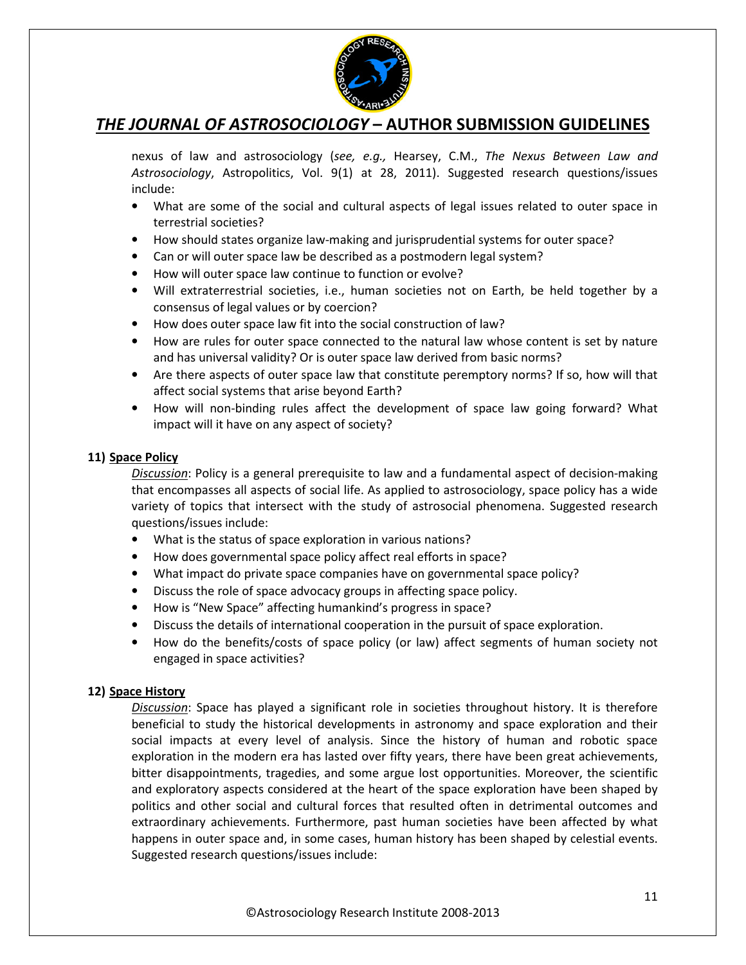

nexus of law and astrosociology (*see, e.g.,* Hearsey, C.M., *The Nexus Between Law and Astrosociology*, Astropolitics, Vol. 9(1) at 28, 2011). Suggested research questions/issues include:

- What are some of the social and cultural aspects of legal issues related to outer space in terrestrial societies?
- How should states organize law-making and jurisprudential systems for outer space?
- Can or will outer space law be described as a postmodern legal system?
- How will outer space law continue to function or evolve?
- Will extraterrestrial societies, i.e., human societies not on Earth, be held together by a consensus of legal values or by coercion?
- How does outer space law fit into the social construction of law?
- How are rules for outer space connected to the natural law whose content is set by nature and has universal validity? Or is outer space law derived from basic norms?
- Are there aspects of outer space law that constitute peremptory norms? If so, how will that affect social systems that arise beyond Earth?
- How will non-binding rules affect the development of space law going forward? What impact will it have on any aspect of society?

### **11) Space Policy**

*Discussion*: Policy is a general prerequisite to law and a fundamental aspect of decision-making that encompasses all aspects of social life. As applied to astrosociology, space policy has a wide variety of topics that intersect with the study of astrosocial phenomena. Suggested research questions/issues include:

- What is the status of space exploration in various nations?
- How does governmental space policy affect real efforts in space?
- What impact do private space companies have on governmental space policy?
- Discuss the role of space advocacy groups in affecting space policy.
- How is "New Space" affecting humankind's progress in space?
- Discuss the details of international cooperation in the pursuit of space exploration.
- How do the benefits/costs of space policy (or law) affect segments of human society not engaged in space activities?

### **12) Space History**

*Discussion*: Space has played a significant role in societies throughout history. It is therefore beneficial to study the historical developments in astronomy and space exploration and their social impacts at every level of analysis. Since the history of human and robotic space exploration in the modern era has lasted over fifty years, there have been great achievements, bitter disappointments, tragedies, and some argue lost opportunities. Moreover, the scientific and exploratory aspects considered at the heart of the space exploration have been shaped by politics and other social and cultural forces that resulted often in detrimental outcomes and extraordinary achievements. Furthermore, past human societies have been affected by what happens in outer space and, in some cases, human history has been shaped by celestial events. Suggested research questions/issues include: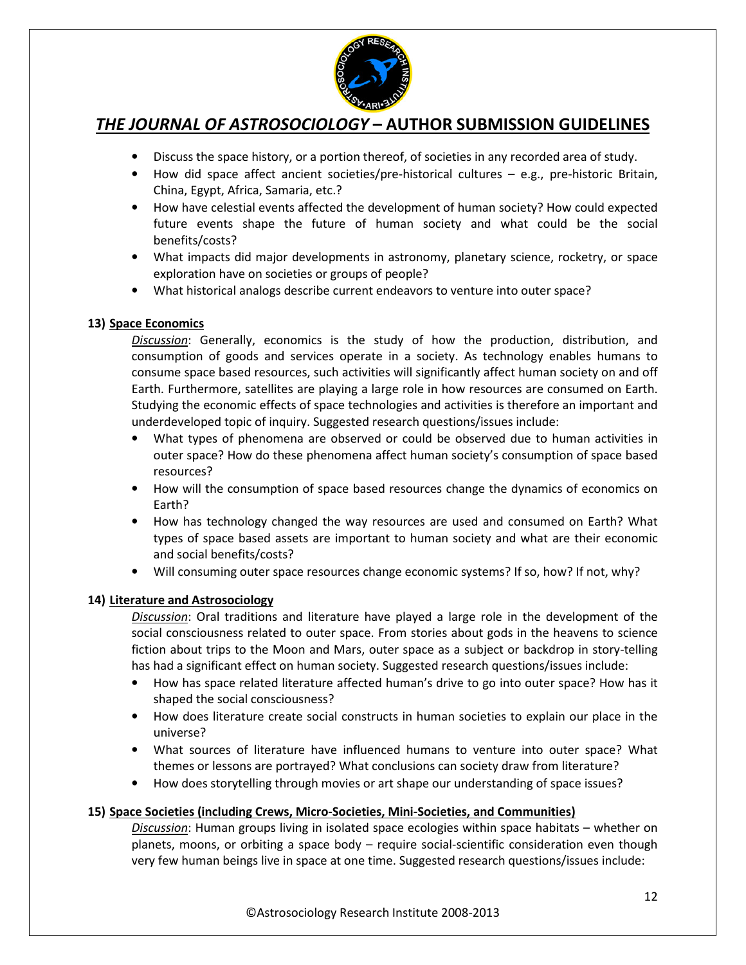

- Discuss the space history, or a portion thereof, of societies in any recorded area of study.
- How did space affect ancient societies/pre-historical cultures e.g., pre-historic Britain, China, Egypt, Africa, Samaria, etc.?
- How have celestial events affected the development of human society? How could expected future events shape the future of human society and what could be the social benefits/costs?
- What impacts did major developments in astronomy, planetary science, rocketry, or space exploration have on societies or groups of people?
- What historical analogs describe current endeavors to venture into outer space?

### **13) Space Economics**

*Discussion*: Generally, economics is the study of how the production, distribution, and consumption of goods and services operate in a society. As technology enables humans to consume space based resources, such activities will significantly affect human society on and off Earth. Furthermore, satellites are playing a large role in how resources are consumed on Earth. Studying the economic effects of space technologies and activities is therefore an important and underdeveloped topic of inquiry. Suggested research questions/issues include:

- What types of phenomena are observed or could be observed due to human activities in outer space? How do these phenomena affect human society's consumption of space based resources?
- How will the consumption of space based resources change the dynamics of economics on Earth?
- How has technology changed the way resources are used and consumed on Earth? What types of space based assets are important to human society and what are their economic and social benefits/costs?
- Will consuming outer space resources change economic systems? If so, how? If not, why?

## **14) Literature and Astrosociology**

*Discussion*: Oral traditions and literature have played a large role in the development of the social consciousness related to outer space. From stories about gods in the heavens to science fiction about trips to the Moon and Mars, outer space as a subject or backdrop in story-telling has had a significant effect on human society. Suggested research questions/issues include:

- How has space related literature affected human's drive to go into outer space? How has it shaped the social consciousness?
- How does literature create social constructs in human societies to explain our place in the universe?
- What sources of literature have influenced humans to venture into outer space? What themes or lessons are portrayed? What conclusions can society draw from literature?
- How does storytelling through movies or art shape our understanding of space issues?

### **15) Space Societies (including Crews, Micro-Societies, Mini-Societies, and Communities)**

*Discussion*: Human groups living in isolated space ecologies within space habitats – whether on planets, moons, or orbiting a space body – require social-scientific consideration even though very few human beings live in space at one time. Suggested research questions/issues include: